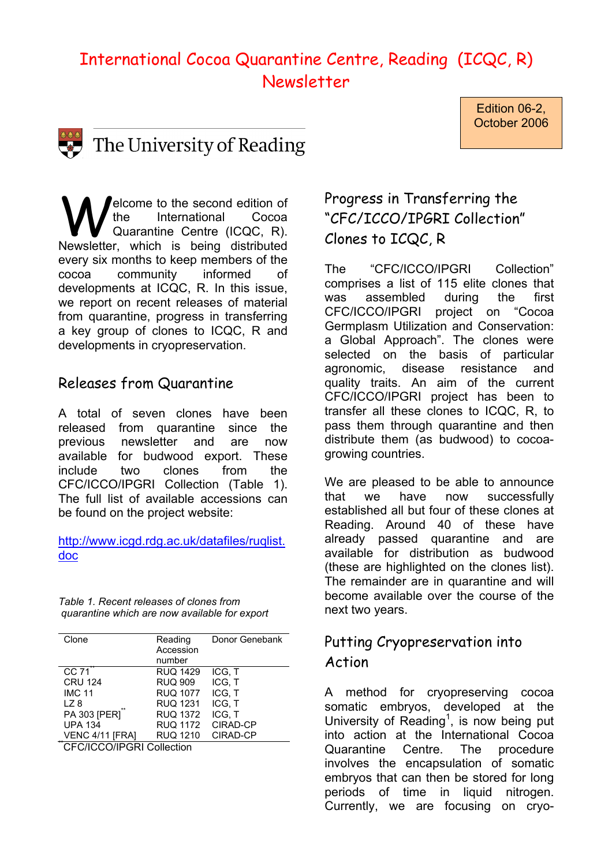# International Cocoa Quarantine Centre, Reading (ICQC, R) Newsletter



The University of Reading

Welcome to the second edition of<br>
Quarantine Centre (ICQC, R).<br>
Newsletter, which is being distributed the International Cocoa Newsletter, which is being distributed every six months to keep members of the cocoa community informed of developments at ICQC, R. In this issue, we report on recent releases of material from quarantine, progress in transferring a key group of clones to ICQC, R and developments in cryopreservation.

#### Releases from Quarantine

A total of seven clones have been released from quarantine since the previous newsletter and are now available for budwood export. These include two clones from the CFC/ICCO/IPGRI Collection (Table 1). The full list of available accessions can be found on the project website:

http://www.icgd.rdg.ac.uk/datafiles/ruqlist. doc

*[Table 1. Recent releases](http://www.icgd.rdg.ac.uk/datafiles/ruqlist.doc) of clones from quarantine which are now available for export* 

| Clone           | Reading         | Donor Genebank |
|-----------------|-----------------|----------------|
|                 | Accession       |                |
|                 | number          |                |
| CC 71           | <b>RUQ 1429</b> | ICG. T         |
| <b>CRU 124</b>  | <b>RUQ 909</b>  | ICG, T         |
| <b>IMC 11</b>   | <b>RUQ 1077</b> | ICG, T         |
| LZ 8            | <b>RUQ 1231</b> | ICG, T         |
| PA 303 [PER]"   | <b>RUQ 1372</b> | ICG. T         |
| <b>UPA 134</b>  | <b>RUQ 1172</b> | CIRAD-CP       |
| VENC 4/11 IFRAI | <b>RUQ 1210</b> | CIRAD-CP       |
|                 |                 |                |

CFC/ICCO/IPGRI Collection

## Progress in Transferring the "CFC/ICCO/IPGRI Collection" Clones to ICQC, R

Edition 06-2, October 2006

The "CFC/ICCO/IPGRI Collection" comprises a list of 115 elite clones that was assembled during the first CFC/ICCO/IPGRI project on "Cocoa Germplasm Utilization and Conservation: a Global Approach". The clones were selected on the basis of particular agronomic, disease resistance and quality traits. An aim of the current CFC/ICCO/IPGRI project has been to transfer all these clones to ICQC, R, to pass them through quarantine and then distribute them (as budwood) to cocoagrowing countries.

We are pleased to be able to announce that we have now successfully established all but four of these clones at Reading. Around 40 of these have already passed quarantine and are available for distribution as budwood (these are highlighted on the clones list). The remainder are in quarantine and will become available over the course of the next two years.

### Putting Cryopreservation into Action

A method for cryopreserving cocoa somatic embryos, developed at the University of Reading<sup>1</sup>, is now being put into action at the International Cocoa Quarantine Centre. The procedure involves the encapsulation of somatic embryos that can then be stored for long periods of time in liquid nitrogen. Currently, we are focusing on cryo-